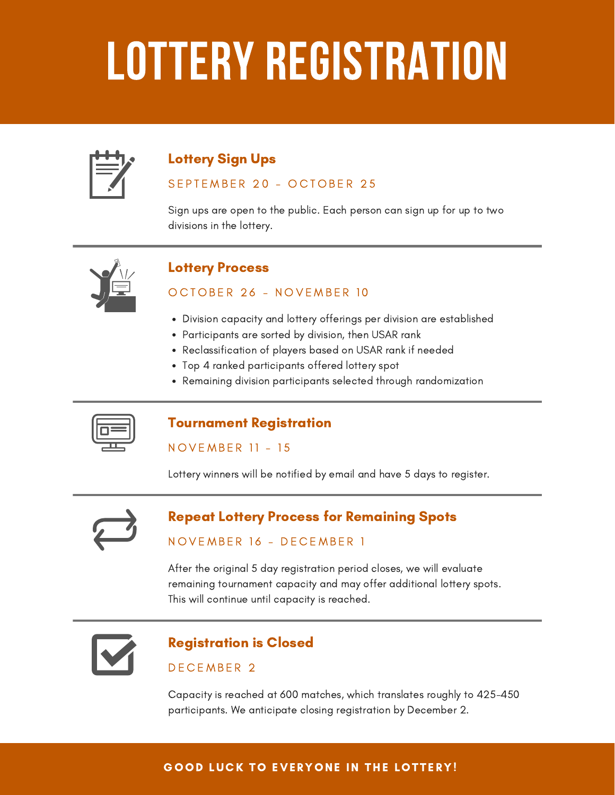# LOTTERY REGISTRATION

# Lottery Sign Ups

## SEPTEMBER 20 - OCTOBER 25

Sign ups are open to the public. Each person can sign up for up to two divisions in the lottery.



# Lottery Process

### OCTOBER 26 - NOVEMBER 10

- Division capacity and lottery offerings per division are established
- Participants are sorted by division, then USAR rank
- Reclassification of players based on USAR rank if needed
- Top 4 ranked participants offered lottery spot
- Remaining division participants selected through randomization

# Tournament Registration

#### NOVEMBER 11 - 15

Lottery winners will be notified by email and have 5 days to register.



# Repeat Lottery Process for Remaining Spots

# NOVEMBER 16 - DECEMBER 1

After the original 5 day registration period closes, we will evaluate remaining tournament capacity and may offer additional lottery spots. This will continue until capacity is reached.



# Registration is Closed

### DE CEMBER<sub>2</sub>

Capacity is reached at 600 matches, which translates roughly to 425-450 participants. We anticipate closing registration by December 2.

### GOOD LUCK TO EVERYONE IN THE LOTTERY!